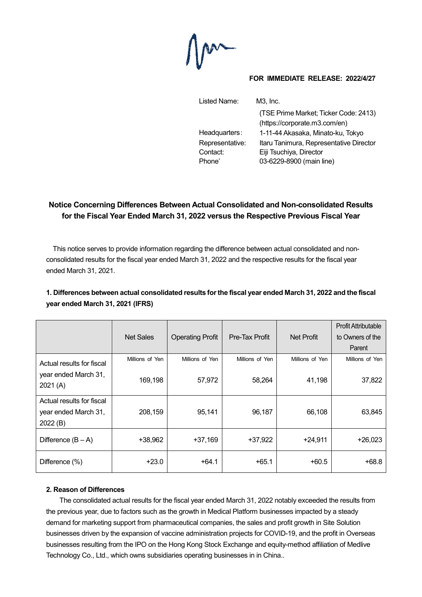$M$ 

#### **FOR IMMEDIATE RELEASE: 2022/4/27**

| Listed Name:    | $M3$ , $Inc$ .                          |
|-----------------|-----------------------------------------|
|                 | (TSE Prime Market; Ticker Code: 2413)   |
|                 | (https://corporate.m3.com/en)           |
| Headquarters:   | 1-11-44 Akasaka, Minato-ku, Tokyo       |
| Representative: | Itaru Tanimura, Representative Director |
| Contact:        | Eiji Tsuchiya, Director                 |
| Phone'          | 03-6229-8900 (main line)                |

# **Notice Concerning Differences Between Actual Consolidated and Non-consolidated Results for the Fiscal Year Ended March 31, 2022 versus the Respective Previous Fiscal Year**

This notice serves to provide information regarding the difference between actual consolidated and nonconsolidated results for the fiscal year ended March 31, 2022 and the respective results for the fiscal year ended March 31, 2021.

|                                                              | <b>Net Sales</b> | <b>Operating Profit</b> | Pre-Tax Profit  | Net Profit      | <b>Profit Attributable</b><br>to Owners of the |
|--------------------------------------------------------------|------------------|-------------------------|-----------------|-----------------|------------------------------------------------|
|                                                              |                  |                         |                 |                 | Parent                                         |
| Actual results for fiscal                                    | Millions of Yen  | Millions of Yen         | Millions of Yen | Millions of Yen | Millions of Yen                                |
| year ended March 31,<br>2021(A)                              | 169,198          | 57,972                  | 58,264          | 41,198          | 37,822                                         |
| Actual results for fiscal<br>year ended March 31,<br>2022(B) | 208,159          | 95,141                  | 96,187          | 66,108          | 63,845                                         |
| Difference $(B - A)$                                         | +38,962          | $+37,169$               | $+37,922$       | $+24,911$       | $+26,023$                                      |
| Difference (%)                                               | $+23.0$          | $+64.1$                 | $+65.1$         | $+60.5$         | $+68.8$                                        |

# **1. Differences between actual consolidated results for the fiscal year ended March 31, 2022 and the fiscal year ended March 31, 2021 (IFRS)**

### **2. Reason of Differences**

The consolidated actual results for the fiscal year ended March 31, 2022 notably exceeded the results from the previous year, due to factors such as the growth in Medical Platform businesses impacted by a steady demand for marketing support from pharmaceutical companies, the sales and profit growth in Site Solution businesses driven by the expansion of vaccine administration projects for COVID-19, and the profit in Overseas businesses resulting from the IPO on the Hong Kong Stock Exchange and equity-method affiliation of Medlive Technology Co., Ltd., which owns subsidiaries operating businesses in in China..